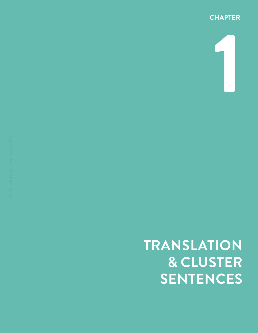

**1**

**TRANSLATION**

**& CLUSTER SENTENCES**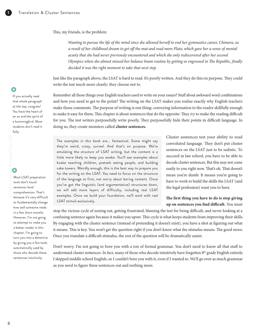This, my friends, is the problem:

*Wanting to pursue the life of the mind since she allowed herself to end her gymnastics career, Chimera, as a result of her childhood dream to get off the mat and read more Plato, which gave her a sense of mental acuity that she had never previously encountered and which she only rediscovered after her second Olympics when she almost missed her balance beam routine by getting so engrossed in The Republic, finally decided it was the right moment to take that next step.*

Just like the paragraph above, the LSAT is hard to read. It's poorly written. And they do this on purpose. They could write the test much more clearly; they choose not to.

Remember all those things your English teachers used to write on your essays? Stuff about awkward word combinations and how you need to get to the point? The writing on the LSAT makes you realize exactly why English teachers make those comments. The purpose of writing is one thing: conveying information to the reader skillfully enough to make it easy for them. This chapter is about sentences that do the opposite: They *try* to make the reading difficult for you. The test writers purposefully write poorly. They purposefully hide their points in difficult language. In doing so, they create monsters called **cluster sentences.**

The examples in this book are... fantastical. Some might say they're weird, crazy, surreal. And that's on purpose. We're emulating the *structure* of LSAT writing, but the content is a little more likely to keep you awake. You'll see examples about koalas teaching children, pretzels eating people, and building cake towers. Weirdly enough, this is the best way to prepare you for the writing on the LSAT. You need to focus on the structure of the language at first, not worry about boring content. Once you've got the linguistic (and argumentative) structures down, we will add more layers of difficulty, including real LSAT examples. Once we build your foundation, we'll work with real LSAT stimuli exclusively.

Cluster sentences test your ability to read convoluted language. They don't put cluster sentences on the LSAT just to be sadistic. To succeed in law school, you have to be able to decode cluster sentences. But this may not come easily to you right now. That's ok. That doesn't mean you're dumb. It means you're going to have to work to build the skills the LSAT (and the legal profession) want you to have.

**The first thing you have to do is stop giving up on sentences you find difficult.** You must

stop the vicious cycle of zoning out, getting frustrated, blaming the test for being difficult, and never looking at a confusing sentence again because it makes you upset. This cycle is what keeps students from improving their skills. By engaging with the cluster sentence (instead of pretending it doesn't exist), you have a shot at figuring out what it means. This is key. You won't get the question right if you don't know what the stimulus means. The good news: Once you translate a difficult stimulus, the rest of the question will be dramatically easier.

Don't worry. I'm not going to bore you with a ton of formal grammar. You don't need to know all that stuff to understand cluster sentences. In fact, many of those who decode intuitively have forgotten 8<sup>th</sup> grade English entirely. I skipped middle school English, so I couldn't bore you with it, even if I wanted to. We'll go over as much grammar as you need to figure these sentences out and nothing more.

If you actually read that whole paragraph at the top, congrats! You have the heart of an ox and the spirit of a hummingbird. Most students don't read it fully.

sentence-level comprehension. That's because it's very difficult to fundamentally change how well someone reads in a few short months. However, I'm not going to attempt to make you a better reader in this chapter. I'm going to turn you into a detective by giving you a few tools automatically used by those who decode these

sentences intuitively.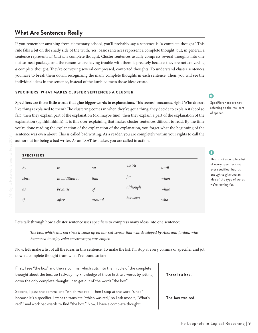## **What Are Sentences Really**

If you remember anything from elementary school, you'll probably say a sentence is "a complete thought." This rule falls a bit on the shady side of the truth. Yes, basic sentences represent a complete thought, but, in general, a sentence represents *at least one* complete thought. Cluster sentences usually compress several thoughts into one not-so-neat package, and the reason you're having trouble with them is precisely because they are not conveying *a* complete thought. They're conveying several compressed, contorted thoughts. To understand cluster sentences, you have to break them down, recognizing the many complete thoughts in each sentence. Then, you will see the individual ideas in the sentence, instead of the jumbled mess those ideas create.

## SPECIFIERS: WHAT MAKES CLUSTER SENTENCES A CLUSTER

**Specifiers are those little words that glue bigger words to explanations.** This seems innocuous, right? Who doesn't like things explained to them? The clustering comes in when they've got a thing; they decide to explain it (cool so far), then they explain part of the explanation (ok, maybe fine), then they explain a part of the explanation of the explanation (aghhhhhhhhh). It is this over-explaining that makes cluster sentences difficult to read. By the time you're done reading the explanation of the explanation of the explanation, you forget what the beginning of the sentence was even about. This is called bad writing. As a reader, you are completely within your rights to call the author out for being a bad writer. As an LSAT test taker, you are called to action.

| <b>SPECIFIERS</b> |                |        |          |       |  |
|-------------------|----------------|--------|----------|-------|--|
| by                | in             | on     | which    | until |  |
| since             | in addition to | that   | for      | when  |  |
| as                | because        | of     | although | while |  |
| if                | after          | around | between  | who   |  |

Let's talk through how a cluster sentence uses specifiers to compress many ideas into one sentence:

*The box, which was red since it came up on our red-sensor that was developed by Alex and Jordan, who happened to enjoy color spectroscopy, was empty.*

Now, let's make a list of all the ideas in this sentence. To make the list, I'll stop at every comma or specifier and jot down a complete thought from what I've found so far:

First, I see "the box" and then a comma, which cuts into the middle of the complete thought about the box. So I salvage my knowledge of those first two words by jotting down the only complete thought I can get out of the words "the box":

Second, I pass the comma and "which was red." Then I stop at the word "since" because it's a specifier. I want to translate "which was red," so I ask myself, "What's red?" and work backwards to find "the box." Now, I have a complete thought:

**There is a box.**

**The box was red.**

•

•

Specifiers here are not referring to the real part of speech.